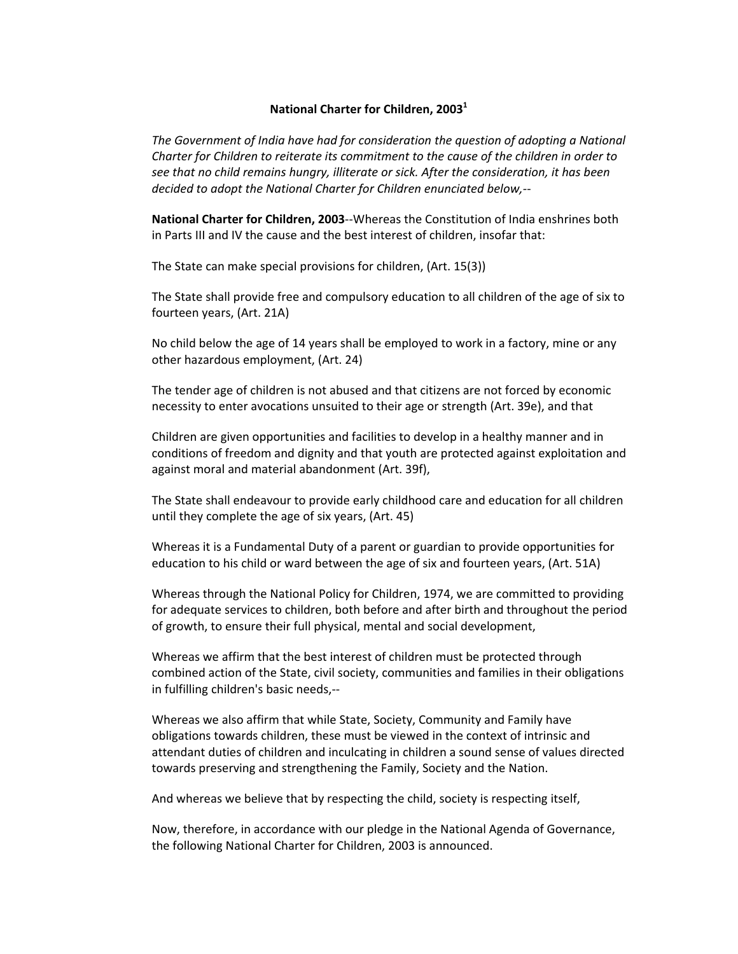## **National Charter for Children, 2003<sup>1</sup>**

*The Government of India have had for consideration the question of adopting a National Charter for Children to reiterate its commitment to the cause of the children in order to see that no child remains hungry, illiterate or sick. After the consideration, it has been decided to adopt the National Charter for Children enunciated below,‐*‐

**National Charter for Children, 2003**‐‐Whereas the Constitution of India enshrines both in Parts III and IV the cause and the best interest of children, insofar that:

The State can make special provisions for children, (Art. 15(3))

The State shall provide free and compulsory education to all children of the age of six to fourteen years, (Art. 21A)

No child below the age of 14 years shall be employed to work in a factory, mine or any other hazardous employment, (Art. 24)

The tender age of children is not abused and that citizens are not forced by economic necessity to enter avocations unsuited to their age or strength (Art. 39e), and that

Children are given opportunities and facilities to develop in a healthy manner and in conditions of freedom and dignity and that youth are protected against exploitation and against moral and material abandonment (Art. 39f),

The State shall endeavour to provide early childhood care and education for all children until they complete the age of six years, (Art. 45)

Whereas it is a Fundamental Duty of a parent or guardian to provide opportunities for education to his child or ward between the age of six and fourteen years, (Art. 51A)

Whereas through the National Policy for Children, 1974, we are committed to providing for adequate services to children, both before and after birth and throughout the period of growth, to ensure their full physical, mental and social development,

Whereas we affirm that the best interest of children must be protected through combined action of the State, civil society, communities and families in their obligations in fulfilling children's basic needs,‐‐

Whereas we also affirm that while State, Society, Community and Family have obligations towards children, these must be viewed in the context of intrinsic and attendant duties of children and inculcating in children a sound sense of values directed towards preserving and strengthening the Family, Society and the Nation.

And whereas we believe that by respecting the child, society is respecting itself,

Now, therefore, in accordance with our pledge in the National Agenda of Governance, the following National Charter for Children, 2003 is announced.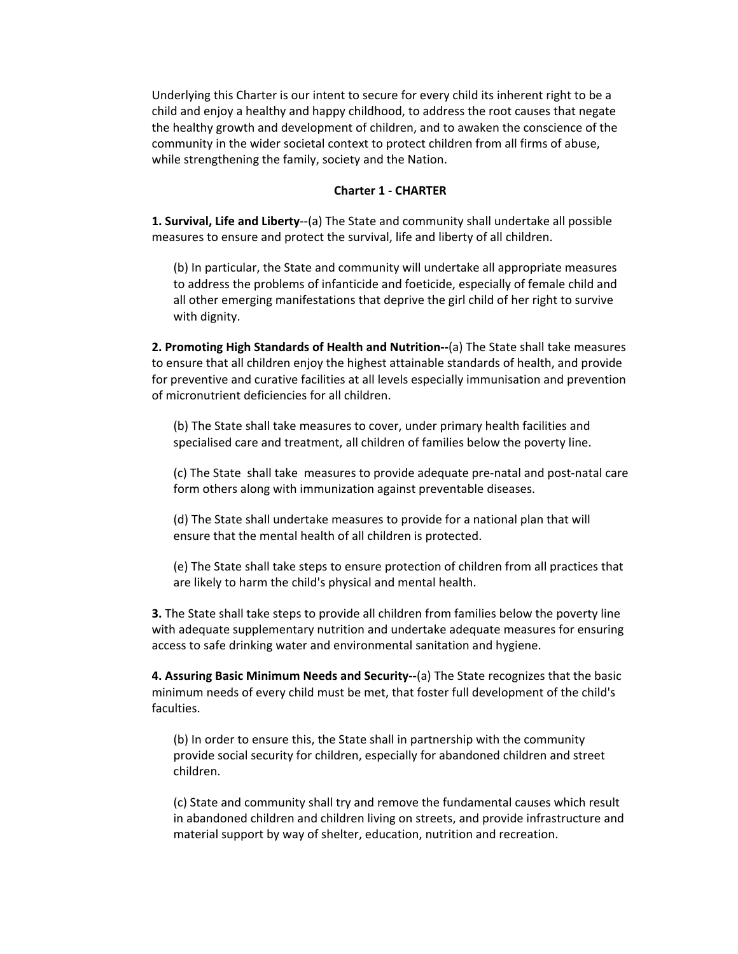Underlying this Charter is our intent to secure for every child its inherent right to be a child and enjoy a healthy and happy childhood, to address the root causes that negate the healthy growth and development of children, and to awaken the conscience of the community in the wider societal context to protect children from all firms of abuse, while strengthening the family, society and the Nation.

## **Charter 1 ‐ CHARTER**

**1. Survival, Life and Liberty**‐‐(a) The State and community shall undertake all possible measures to ensure and protect the survival, life and liberty of all children.

(b) In particular, the State and community will undertake all appropriate measures to address the problems of infanticide and foeticide, especially of female child and all other emerging manifestations that deprive the girl child of her right to survive with dignity.

**2. Promoting High Standards of Health and Nutrition‐‐**(a) The State shall take measures to ensure that all children enjoy the highest attainable standards of health, and provide for preventive and curative facilities at all levels especially immunisation and prevention of micronutrient deficiencies for all children.

(b) The State shall take measures to cover, under primary health facilities and specialised care and treatment, all children of families below the poverty line.

(c) The State shall take measures to provide adequate pre‐natal and post‐natal care form others along with immunization against preventable diseases.

(d) The State shall undertake measures to provide for a national plan that will ensure that the mental health of all children is protected.

(e) The State shall take steps to ensure protection of children from all practices that are likely to harm the child's physical and mental health.

**3.** The State shall take steps to provide all children from families below the poverty line with adequate supplementary nutrition and undertake adequate measures for ensuring access to safe drinking water and environmental sanitation and hygiene.

**4. Assuring Basic Minimum Needs and Security‐‐**(a) The State recognizes that the basic minimum needs of every child must be met, that foster full development of the child's faculties.

(b) In order to ensure this, the State shall in partnership with the community provide social security for children, especially for abandoned children and street children.

(c) State and community shall try and remove the fundamental causes which result in abandoned children and children living on streets, and provide infrastructure and material support by way of shelter, education, nutrition and recreation.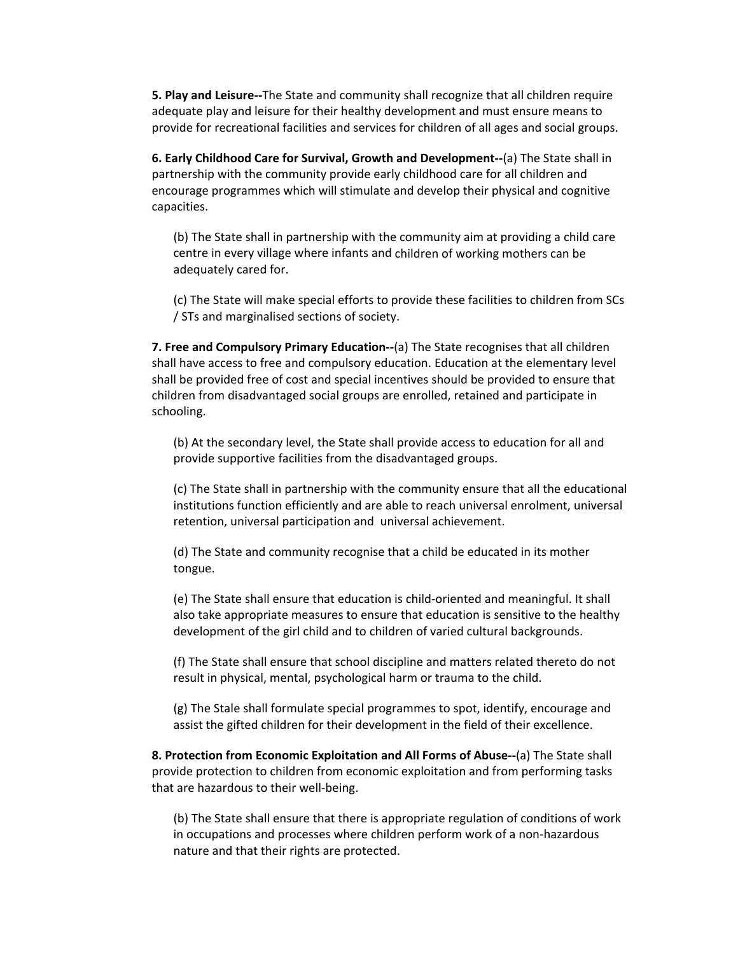**5. Play and Leisure‐‐**The State and community shall recognize that all children require adequate play and leisure for their healthy development and must ensure means to provide for recreational facilities and services for children of all ages and social groups.

**6. Early Childhood Care for Survival, Growth and Development‐‐**(a) The State shall in partnership with the community provide early childhood care for all children and encourage programmes which will stimulate and develop their physical and cognitive capacities.

(b) The State shall in partnership with the community aim at providing a child care centre in every village where infants and children of working mothers can be adequately cared for.

(c) The State will make special efforts to provide these facilities to children from SCs / STs and marginalised sections of society.

**7. Free and Compulsory Primary Education‐‐**(a) The State recognises that all children shall have access to free and compulsory education. Education at the elementary level shall be provided free of cost and special incentives should be provided to ensure that children from disadvantaged social groups are enrolled, retained and participate in schooling.

(b) At the secondary level, the State shall provide access to education for all and provide supportive facilities from the disadvantaged groups.

(c) The State shall in partnership with the community ensure that all the educational institutions function efficiently and are able to reach universal enrolment, universal retention, universal participation and universal achievement.

(d) The State and community recognise that a child be educated in its mother tongue.

(e) The State shall ensure that education is child‐oriented and meaningful. It shall also take appropriate measures to ensure that education is sensitive to the healthy development of the girl child and to children of varied cultural backgrounds.

(f) The State shall ensure that school discipline and matters related thereto do not result in physical, mental, psychological harm or trauma to the child.

(g) The Stale shall formulate special programmes to spot, identify, encourage and assist the gifted children for their development in the field of their excellence.

**8. Protection from Economic Exploitation and All Forms of Abuse‐‐**(a) The State shall provide protection to children from economic exploitation and from performing tasks that are hazardous to their well‐being.

(b) The State shall ensure that there is appropriate regulation of conditions of work in occupations and processes where children perform work of a non‐hazardous nature and that their rights are protected.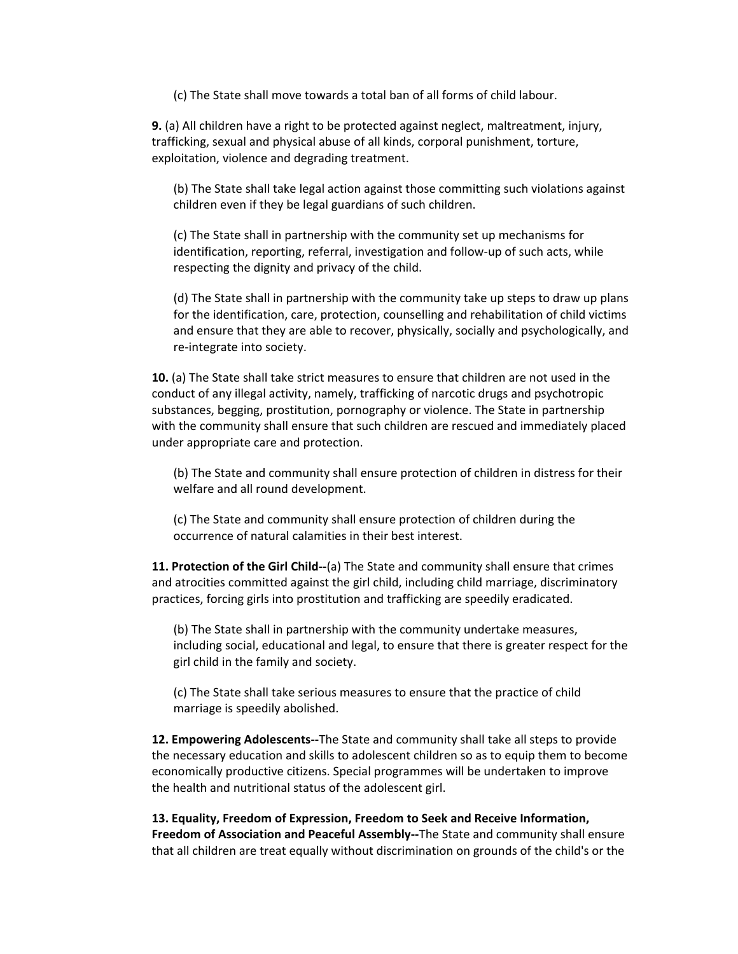(c) The State shall move towards a total ban of all forms of child labour.

**9.** (a) All children have a right to be protected against neglect, maltreatment, injury, trafficking, sexual and physical abuse of all kinds, corporal punishment, torture, exploitation, violence and degrading treatment.

(b) The State shall take legal action against those committing such violations against children even if they be legal guardians of such children.

(c) The State shall in partnership with the community set up mechanisms for identification, reporting, referral, investigation and follow-up of such acts, while respecting the dignity and privacy of the child.

(d) The State shall in partnership with the community take up steps to draw up plans for the identification, care, protection, counselling and rehabilitation of child victims and ensure that they are able to recover, physically, socially and psychologically, and re‐integrate into society.

**10.** (a) The State shall take strict measures to ensure that children are not used in the conduct of any illegal activity, namely, trafficking of narcotic drugs and psychotropic substances, begging, prostitution, pornography or violence. The State in partnership with the community shall ensure that such children are rescued and immediately placed under appropriate care and protection.

(b) The State and community shall ensure protection of children in distress for their welfare and all round development.

(c) The State and community shall ensure protection of children during the occurrence of natural calamities in their best interest.

**11. Protection of the Girl Child‐‐**(a) The State and community shall ensure that crimes and atrocities committed against the girl child, including child marriage, discriminatory practices, forcing girls into prostitution and trafficking are speedily eradicated.

(b) The State shall in partnership with the community undertake measures, including social, educational and legal, to ensure that there is greater respect for the girl child in the family and society.

(c) The State shall take serious measures to ensure that the practice of child marriage is speedily abolished.

**12. Empowering Adolescents‐‐**The State and community shall take all steps to provide the necessary education and skills to adolescent children so as to equip them to become economically productive citizens. Special programmes will be undertaken to improve the health and nutritional status of the adolescent girl.

**13. Equality, Freedom of Expression, Freedom to Seek and Receive Information, Freedom of Association and Peaceful Assembly‐‐**The State and community shall ensure that all children are treat equally without discrimination on grounds of the child's or the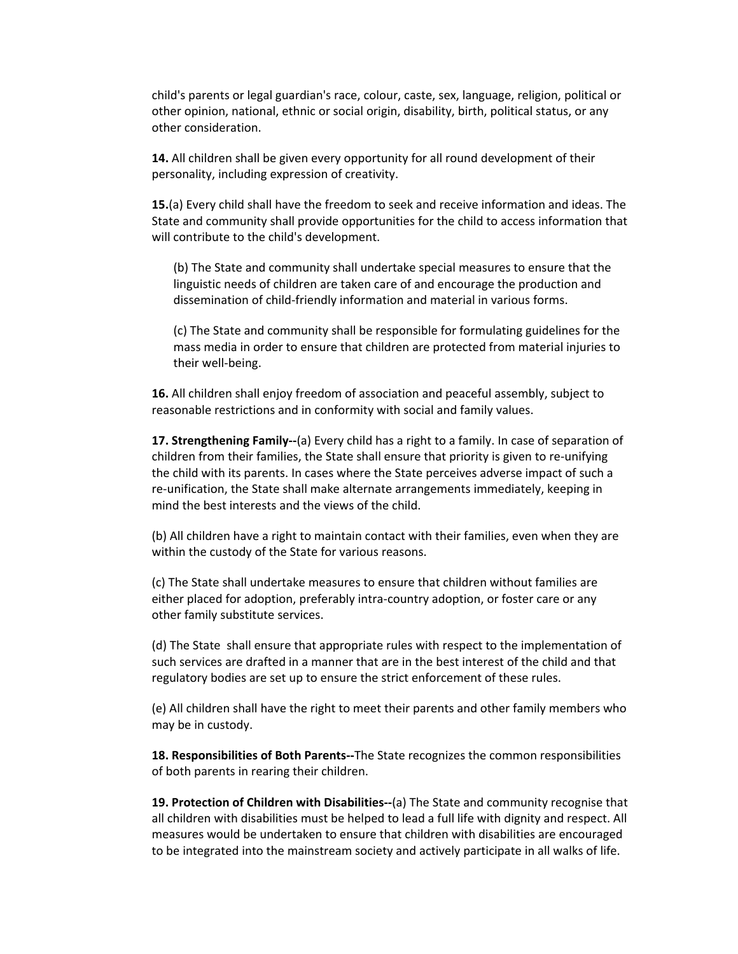child's parents or legal guardian's race, colour, caste, sex, language, religion, political or other opinion, national, ethnic or social origin, disability, birth, political status, or any other consideration.

**14.** All children shall be given every opportunity for all round development of their personality, including expression of creativity.

**15.**(a) Every child shall have the freedom to seek and receive information and ideas. The State and community shall provide opportunities for the child to access information that will contribute to the child's development.

(b) The State and community shall undertake special measures to ensure that the linguistic needs of children are taken care of and encourage the production and dissemination of child‐friendly information and material in various forms.

(c) The State and community shall be responsible for formulating guidelines for the mass media in order to ensure that children are protected from material injuries to their well‐being.

**16.** All children shall enjoy freedom of association and peaceful assembly, subject to reasonable restrictions and in conformity with social and family values.

**17. Strengthening Family‐‐**(a) Every child has a right to a family. In case of separation of children from their families, the State shall ensure that priority is given to re-unifying the child with its parents. In cases where the State perceives adverse impact of such a re-unification, the State shall make alternate arrangements immediately, keeping in mind the best interests and the views of the child.

(b) All children have a right to maintain contact with their families, even when they are within the custody of the State for various reasons.

(c) The State shall undertake measures to ensure that children without families are either placed for adoption, preferably intra‐country adoption, or foster care or any other family substitute services.

(d) The State shall ensure that appropriate rules with respect to the implementation of such services are drafted in a manner that are in the best interest of the child and that regulatory bodies are set up to ensure the strict enforcement of these rules.

(e) All children shall have the right to meet their parents and other family members who may be in custody.

**18. Responsibilities of Both Parents‐‐**The State recognizes the common responsibilities of both parents in rearing their children.

**19. Protection of Children with Disabilities‐‐**(a) The State and community recognise that all children with disabilities must be helped to lead a full life with dignity and respect. All measures would be undertaken to ensure that children with disabilities are encouraged to be integrated into the mainstream society and actively participate in all walks of life.